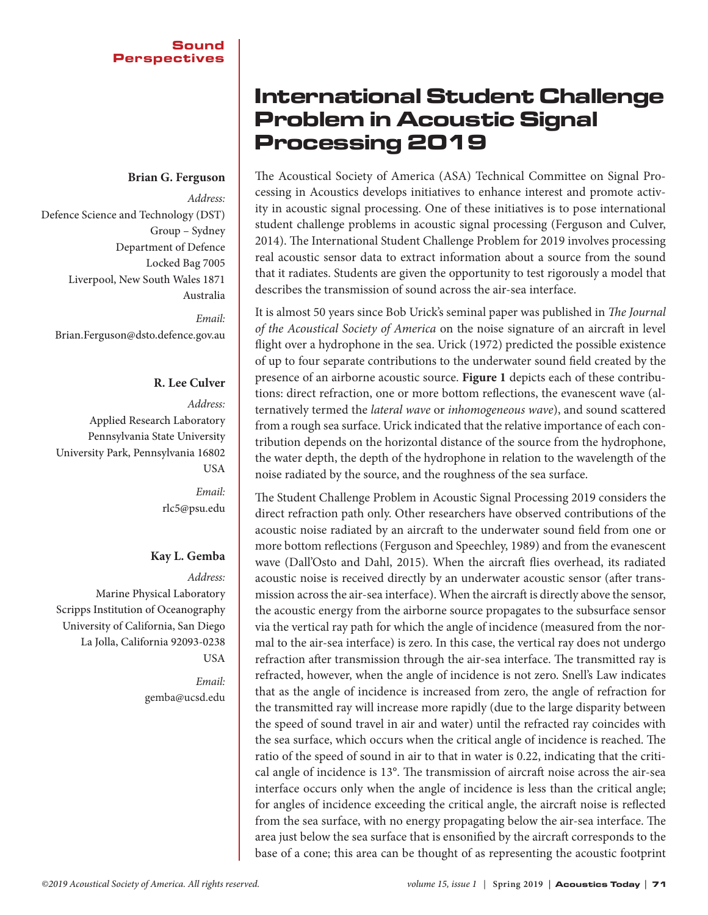### **Brian G. Ferguson**

*Address:*  Defence Science and Technology (DST) Group – Sydney Department of Defence Locked Bag 7005 Liverpool, New South Wales 1871 Australia *Email:* Brian.Ferguson@dsto.defence.gov.au

#### **R. Lee Culver**

*Address:*  Applied Research Laboratory Pennsylvania State University University Park, Pennsylvania 16802 USA *Email:*

rlc5@psu.edu

## **Kay L. Gemba**

*Address:*  Marine Physical Laboratory Scripps Institution of Oceanography University of California, San Diego La Jolla, California 92093-0238 **USA** 

> *Email:* [gemba@ucsd.edu](mailto:gemba@ucsd.edu)

# International Student Challenge Problem in Acoustic Signal Processing 2019

The Acoustical Society of America (ASA) Technical Committee on Signal Processing in Acoustics develops initiatives to enhance interest and promote activity in acoustic signal processing. One of these initiatives is to pose international student challenge problems in acoustic signal processing (Ferguson and Culver, 2014). The International Student Challenge Problem for 2019 involves processing real acoustic sensor data to extract information about a source from the sound that it radiates. Students are given the opportunity to test rigorously a model that describes the transmission of sound across the air-sea interface.

It is almost 50 years since Bob Urick's seminal paper was published in *The Journal of the Acoustical Society of America* on the noise signature of an aircraft in level flight over a hydrophone in the sea. Urick (1972) predicted the possible existence of up to four separate contributions to the underwater sound field created by the presence of an airborne acoustic source. **Figure 1** depicts each of these contributions: direct refraction, one or more bottom reflections, the evanescent wave (alternatively termed the *lateral wave* or *inhomogeneous wave*), and sound scattered from a rough sea surface. Urick indicated that the relative importance of each contribution depends on the horizontal distance of the source from the hydrophone, the water depth, the depth of the hydrophone in relation to the wavelength of the noise radiated by the source, and the roughness of the sea surface.

The Student Challenge Problem in Acoustic Signal Processing 2019 considers the direct refraction path only. Other researchers have observed contributions of the acoustic noise radiated by an aircraft to the underwater sound field from one or more bottom reflections (Ferguson and Speechley, 1989) and from the evanescent wave (Dall'Osto and Dahl, 2015). When the aircraft flies overhead, its radiated acoustic noise is received directly by an underwater acoustic sensor (after transmission across the air-sea interface). When the aircraft is directly above the sensor, the acoustic energy from the airborne source propagates to the subsurface sensor via the vertical ray path for which the angle of incidence (measured from the normal to the air-sea interface) is zero. In this case, the vertical ray does not undergo refraction after transmission through the air-sea interface. The transmitted ray is refracted, however, when the angle of incidence is not zero. Snell's Law indicates that as the angle of incidence is increased from zero, the angle of refraction for the transmitted ray will increase more rapidly (due to the large disparity between the speed of sound travel in air and water) until the refracted ray coincides with the sea surface, which occurs when the critical angle of incidence is reached. The ratio of the speed of sound in air to that in water is 0.22, indicating that the critical angle of incidence is 13°. The transmission of aircraft noise across the air-sea interface occurs only when the angle of incidence is less than the critical angle; for angles of incidence exceeding the critical angle, the aircraft noise is reflected from the sea surface, with no energy propagating below the air-sea interface. The area just below the sea surface that is ensonified by the aircraft corresponds to the base of a cone; this area can be thought of as representing the acoustic footprint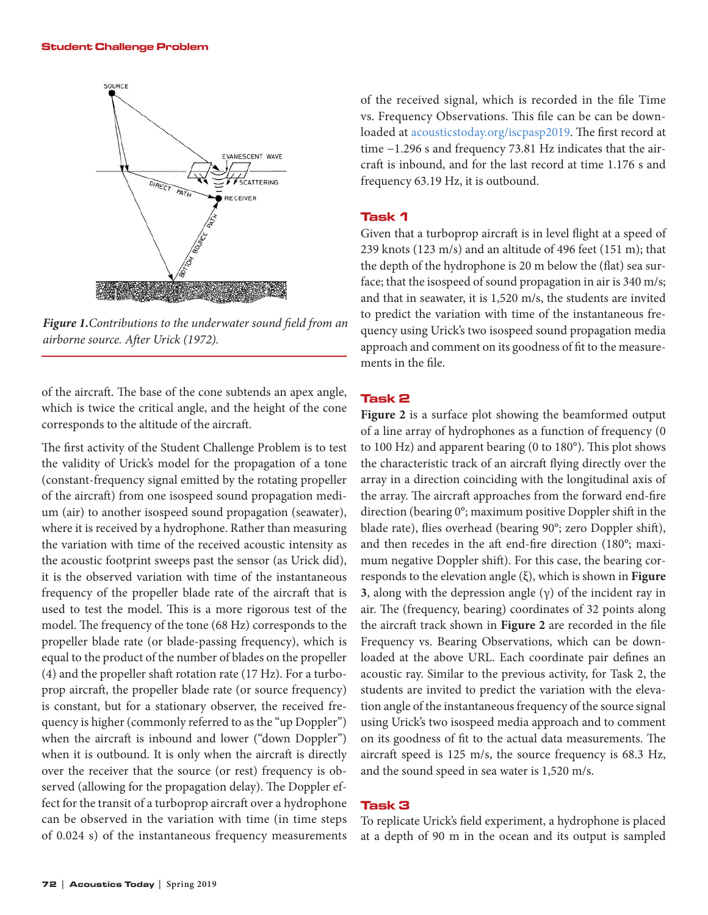

*Figure 1.Contributions to the underwater sound field from an airborne source. After Urick (1972).*

of the aircraft. The base of the cone subtends an apex angle, which is twice the critical angle, and the height of the cone corresponds to the altitude of the aircraft.

The first activity of the Student Challenge Problem is to test the validity of Urick's model for the propagation of a tone (constant-frequency signal emitted by the rotating propeller of the aircraft) from one isospeed sound propagation medium (air) to another isospeed sound propagation (seawater), where it is received by a hydrophone. Rather than measuring the variation with time of the received acoustic intensity as the acoustic footprint sweeps past the sensor (as Urick did), it is the observed variation with time of the instantaneous frequency of the propeller blade rate of the aircraft that is used to test the model. This is a more rigorous test of the model. The frequency of the tone (68 Hz) corresponds to the propeller blade rate (or blade-passing frequency), which is equal to the product of the number of blades on the propeller (4) and the propeller shaft rotation rate (17 Hz). For a turboprop aircraft, the propeller blade rate (or source frequency) is constant, but for a stationary observer, the received frequency is higher (commonly referred to as the "up Doppler") when the aircraft is inbound and lower ("down Doppler") when it is outbound. It is only when the aircraft is directly over the receiver that the source (or rest) frequency is observed (allowing for the propagation delay). The Doppler effect for the transit of a turboprop aircraft over a hydrophone can be observed in the variation with time (in time steps of 0.024 s) of the instantaneous frequency measurements

of the received signal, which is recorded in the file Time vs. Frequency Observations. This file can be can be downloaded [at](file:///C:\Users\Helen\Dropbox\HAP\Acoustics%20Today\AT%202019\Spring%202019\SP%20-%20Student%20challenge%20-%20DONE\at) [acousticstoday.org/iscpasp2019. Th](https://acousticstoday.org/2019-challenge-files/)e first record at time −1.296 s and frequency 73.81 Hz indicates that the aircraft is inbound, and for the last record at time 1.176 s and frequency 63.19 Hz, it is outbound.

#### Task 1

Given that a turboprop aircraft is in level flight at a speed of 239 knots (123 m/s) and an altitude of 496 feet (151 m); that the depth of the hydrophone is 20 m below the (flat) sea surface; that the isospeed of sound propagation in air is 340 m/s; and that in seawater, it is 1,520 m/s, the students are invited to predict the variation with time of the instantaneous frequency using Urick's two isospeed sound propagation media approach and comment on its goodness of fit to the measurements in the file.

#### Task 2

**Figure 2** is a surface plot showing the beamformed output of a line array of hydrophones as a function of frequency (0 to 100 Hz) and apparent bearing (0 to 180°). This plot shows the characteristic track of an aircraft flying directly over the array in a direction coinciding with the longitudinal axis of the array. The aircraft approaches from the forward end-fire direction (bearing 0°; maximum positive Doppler shift in the blade rate), flies overhead (bearing 90°; zero Doppler shift), and then recedes in the aft end-fire direction (180°; maximum negative Doppler shift). For this case, the bearing corresponds to the elevation angle (ξ), which is shown in **Figure 3**, along with the depression angle  $(\gamma)$  of the incident ray in air. The (frequency, bearing) coordinates of 32 points along the aircraft track shown in **Figure 2** are recorded in the file Frequency vs. Bearing Observations, which can be downloaded at the above URL. Each coordinate pair defines an acoustic ray. Similar to the previous activity, for Task 2, the students are invited to predict the variation with the elevation angle of the instantaneous frequency of the source signal using Urick's two isospeed media approach and to comment on its goodness of fit to the actual data measurements. The aircraft speed is 125 m/s, the source frequency is 68.3 Hz, and the sound speed in sea water is 1,520 m/s.

#### Task 3

To replicate Urick's field experiment, a hydrophone is placed at a depth of 90 m in the ocean and its output is sampled